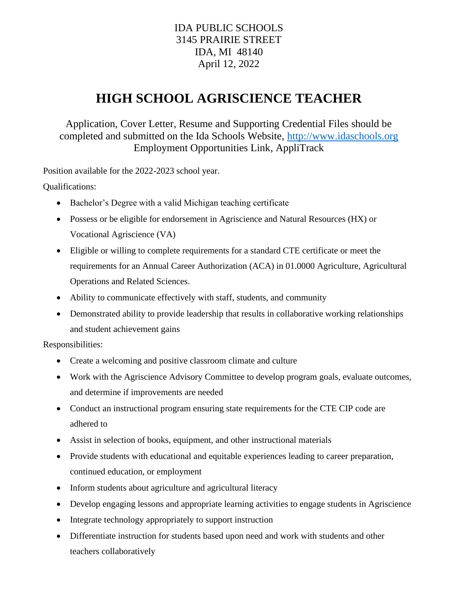## IDA PUBLIC SCHOOLS 3145 PRAIRIE STREET IDA, MI 48140 April 12, 2022

## **HIGH SCHOOL AGRISCIENCE TEACHER**

Application, Cover Letter, Resume and Supporting Credential Files should be completed and submitted on the Ida Schools Website, [http://www.idaschools.org](http://www.idaschools.org/) Employment Opportunities Link, AppliTrack

Position available for the 2022-2023 school year.

Qualifications:

- Bachelor's Degree with a valid Michigan teaching certificate
- Possess or be eligible for endorsement in Agriscience and Natural Resources (HX) or Vocational Agriscience (VA)
- Eligible or willing to complete requirements for a standard CTE certificate or meet the requirements for an Annual Career Authorization (ACA) in 01.0000 Agriculture, Agricultural Operations and Related Sciences.
- Ability to communicate effectively with staff, students, and community
- Demonstrated ability to provide leadership that results in collaborative working relationships and student achievement gains

Responsibilities:

- Create a welcoming and positive classroom climate and culture
- Work with the Agriscience Advisory Committee to develop program goals, evaluate outcomes, and determine if improvements are needed
- Conduct an instructional program ensuring state requirements for the CTE CIP code are adhered to
- Assist in selection of books, equipment, and other instructional materials
- Provide students with educational and equitable experiences leading to career preparation, continued education, or employment
- Inform students about agriculture and agricultural literacy
- Develop engaging lessons and appropriate learning activities to engage students in Agriscience
- Integrate technology appropriately to support instruction
- Differentiate instruction for students based upon need and work with students and other teachers collaboratively